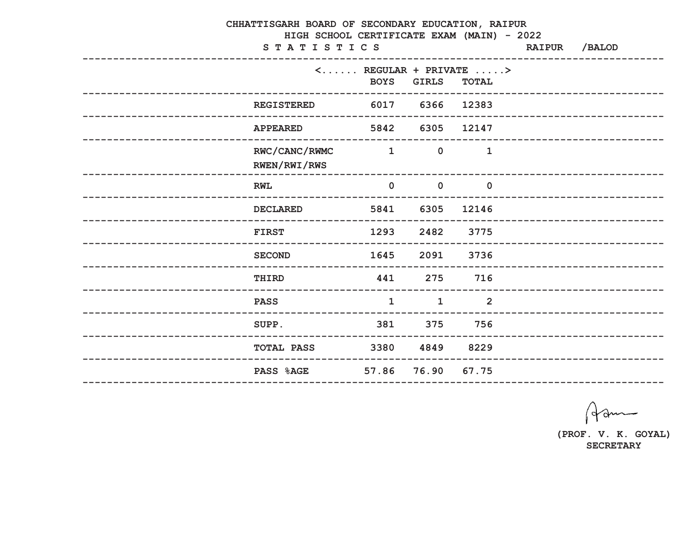| CHHATTISGARH BOARD OF SECONDARY EDUCATION, RAIPUR<br>HIGH SCHOOL CERTIFICATE EXAM (MAIN) - 2022<br>STATISTICS |                                              |                       |                                                                                    | <b>RAIPUR</b> | /BALOD                       |
|---------------------------------------------------------------------------------------------------------------|----------------------------------------------|-----------------------|------------------------------------------------------------------------------------|---------------|------------------------------|
| -----------------                                                                                             | <b>BOYS</b>                                  | <b>GIRLS</b>          | $\langle \ldots \ldots \rangle$ REGULAR + PRIVATE $\ldots \rangle$<br><b>TOTAL</b> |               |                              |
| <b>REGISTERED</b>                                                                                             | 6017 6366 12383<br>------------------------- | --------------------- |                                                                                    |               | ____________________________ |
| <b>APPEARED</b>                                                                                               | 5842                                         | 6305                  | 12147                                                                              |               | --------------------------   |
| RWC/CANC/RWMC<br>RWEN/RWI/RWS                                                                                 | $\sim$ 1                                     | $\overline{0}$        | $\mathbf{1}$                                                                       |               |                              |
| <b>RWL</b>                                                                                                    | $\mathbf 0$                                  | $\mathbf 0$           | $\mathbf 0$                                                                        |               |                              |
| <b>DECLARED</b>                                                                                               | 5841                                         | 6305                  | 12146                                                                              |               |                              |
| <b>FIRST</b>                                                                                                  | 1293                                         | 2482                  | 3775                                                                               |               |                              |
| <b>SECOND</b>                                                                                                 | 1645                                         | 2091                  | 3736                                                                               |               | -------------------------    |
| THIRD                                                                                                         | 441                                          | 275                   | 716                                                                                |               | --------------------------   |
| <b>PASS</b>                                                                                                   | $\mathbf 1$                                  | $\mathbf 1$           | $\overline{2}$                                                                     |               |                              |
| SUPP.                                                                                                         | 381 375                                      |                       | 756                                                                                |               |                              |
| <b>TOTAL PASS</b>                                                                                             | 3380 4849 8229                               |                       |                                                                                    |               |                              |
| <b>PASS %AGE</b>                                                                                              |                                              | 57.86 76.90 67.75     |                                                                                    |               |                              |
|                                                                                                               |                                              |                       |                                                                                    |               |                              |

Ham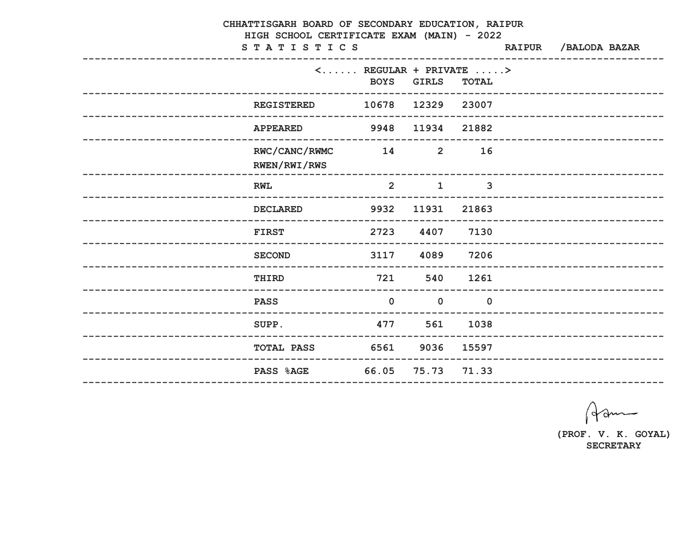| CHHATTISGARH BOARD OF SECONDARY EDUCATION, RAIPUR<br>HIGH SCHOOL CERTIFICATE EXAM (MAIN) - 2022 |                                                                       |                    |                |                              |  |                             |  |  |  |
|-------------------------------------------------------------------------------------------------|-----------------------------------------------------------------------|--------------------|----------------|------------------------------|--|-----------------------------|--|--|--|
| STATISTICS                                                                                      |                                                                       |                    |                | RAIPUR / BALODA BAZAR        |  |                             |  |  |  |
|                                                                                                 | $\langle \ldots \ldots$ REGULAR + PRIVATE $\ldots \ge$<br><b>BOYS</b> | <b>GIRLS</b>       | <b>TOTAL</b>   |                              |  |                             |  |  |  |
| <b>REGISTERED</b>                                                                               | 10678                                                                 | 12329              | 23007          |                              |  | __________________________  |  |  |  |
| <b>APPEARED</b>                                                                                 | 9948                                                                  | 11934              | 21882          |                              |  | --------------------------  |  |  |  |
| RWC/CANC/RWMC<br>RWEN/RWI/RWS                                                                   | 14                                                                    | $\overline{2}$     | 16             |                              |  |                             |  |  |  |
| <b>RWL</b>                                                                                      | 2                                                                     | $\mathbf{1}$       | $\mathbf{3}$   |                              |  |                             |  |  |  |
| <b>DECLARED</b>                                                                                 | 9932                                                                  | 11931              | 21863          |                              |  |                             |  |  |  |
| <b>FIRST</b>                                                                                    | 2723                                                                  | 4407<br>---------- | 7130           |                              |  | _____________________       |  |  |  |
| <b>SECOND</b>                                                                                   | 3117                                                                  | 4089               | 7206           |                              |  | --------------------------- |  |  |  |
| THIRD                                                                                           | 721                                                                   | 540                | 1261           | ____________________________ |  |                             |  |  |  |
| <b>PASS</b>                                                                                     | $\overline{0}$                                                        | $\mathbf 0$        | $\overline{0}$ |                              |  |                             |  |  |  |
| SUPP.                                                                                           | 477 561                                                               |                    | 1038           |                              |  |                             |  |  |  |
| <b>TOTAL PASS 6561 9036 15597</b>                                                               |                                                                       |                    |                |                              |  |                             |  |  |  |
| PASS %AGE 66.05 75.73 71.33                                                                     |                                                                       |                    |                |                              |  |                             |  |  |  |
|                                                                                                 |                                                                       |                    |                |                              |  |                             |  |  |  |

Ham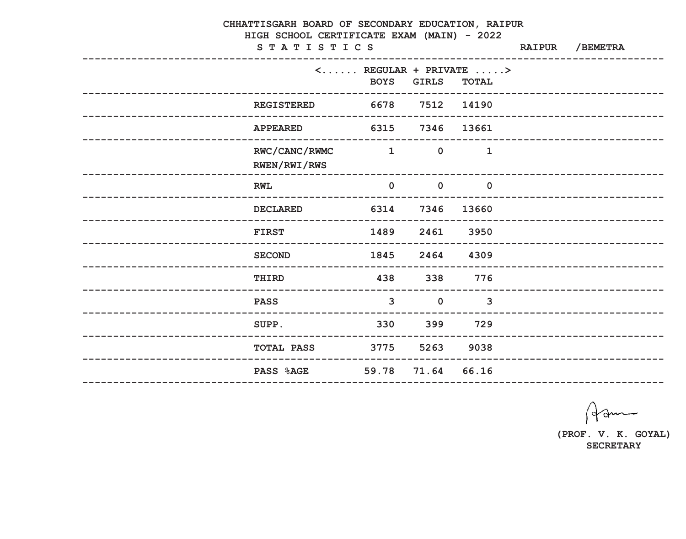| CHHATTISGARH BOARD OF SECONDARY EDUCATION, RAIPUR<br>HIGH SCHOOL CERTIFICATE EXAM (MAIN) - 2022 |                   |                 |                         |                                                                    |  |                              |  |  |  |
|-------------------------------------------------------------------------------------------------|-------------------|-----------------|-------------------------|--------------------------------------------------------------------|--|------------------------------|--|--|--|
|                                                                                                 | STATISTICS        |                 |                         | -------------------------------                                    |  | RAIPUR / BEMETRA             |  |  |  |
|                                                                                                 |                   |                 |                         | $\langle \ldots \ldots \rangle$ REGULAR + PRIVATE $\ldots \rangle$ |  |                              |  |  |  |
|                                                                                                 |                   | <b>BOYS</b>     | <b>GIRLS</b>            | <b>TOTAL</b>                                                       |  | ---------------------------- |  |  |  |
|                                                                                                 | <b>REGISTERED</b> | 6678 7512 14190 |                         |                                                                    |  |                              |  |  |  |
|                                                                                                 | <b>APPEARED</b>   | 6315 7346 13661 |                         |                                                                    |  | __________________________   |  |  |  |
|                                                                                                 | RWC/CANC/RWMC     | $\sim$ 1        | $\mathbf 0$             | $\mathbf 1$                                                        |  |                              |  |  |  |
|                                                                                                 | RWEN/RWI/RWS      |                 |                         |                                                                    |  |                              |  |  |  |
|                                                                                                 | <b>RWL</b>        | $\mathbf 0$     | $\overline{\mathbf{0}}$ | $\overline{\mathbf{0}}$                                            |  |                              |  |  |  |
|                                                                                                 | <b>DECLARED</b>   |                 | 6314 7346               | 13660                                                              |  | __________________________   |  |  |  |
|                                                                                                 | <b>FIRST</b>      | 1489            | 2461                    | 3950                                                               |  | _______________________      |  |  |  |
|                                                                                                 | <b>SECOND</b>     | 1845            | 2464                    | 4309                                                               |  |                              |  |  |  |
| __________________________                                                                      | THIRD             | 438             | 338                     | 776                                                                |  | __________________________   |  |  |  |
|                                                                                                 | <b>PASS</b>       | $\mathbf{3}$    | $\mathbf 0$             | $\mathbf{3}$                                                       |  |                              |  |  |  |
|                                                                                                 | SUPP.             | 330             |                         | 399 729                                                            |  |                              |  |  |  |
|                                                                                                 | <b>TOTAL PASS</b> |                 | 3775 5263 9038          |                                                                    |  |                              |  |  |  |
|                                                                                                 | <b>PASS %AGE</b>  |                 | 59.78 71.64 66.16       |                                                                    |  |                              |  |  |  |
|                                                                                                 |                   |                 |                         |                                                                    |  |                              |  |  |  |

Ham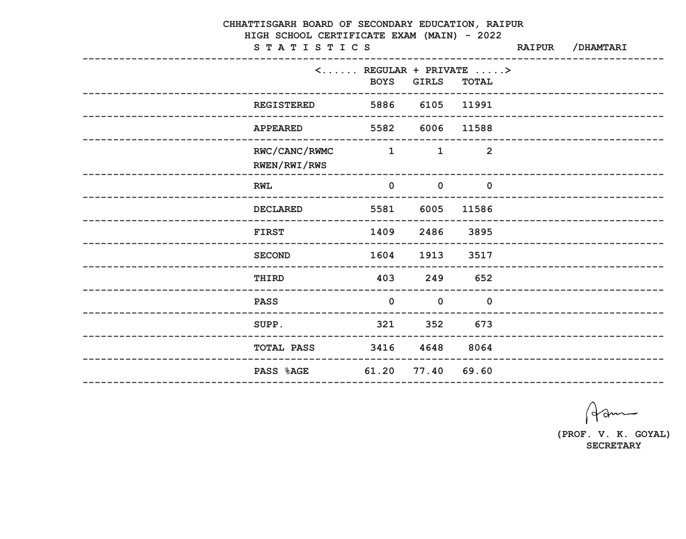| CHHATTISGARH BOARD OF SECONDARY EDUCATION, RAIPUR<br>HIGH SCHOOL CERTIFICATE EXAM (MAIN) - 2022 |                                                        |                                                                                   |                     |                         |               |                             |  |  |  |
|-------------------------------------------------------------------------------------------------|--------------------------------------------------------|-----------------------------------------------------------------------------------|---------------------|-------------------------|---------------|-----------------------------|--|--|--|
|                                                                                                 | STATISTICS                                             |                                                                                   |                     |                         | <b>RAIPUR</b> | /DHAMTARI                   |  |  |  |
|                                                                                                 |                                                        | $\langle \ldots \ldots \rangle$ REGULAR + PRIVATE $\ldots \rangle$<br><b>BOYS</b> | <b>GIRLS</b>        | <b>TOTAL</b>            |               |                             |  |  |  |
|                                                                                                 | _________________________________<br><b>REGISTERED</b> | 5886 6105 11991                                                                   | ------------------- |                         |               | --------------------------- |  |  |  |
|                                                                                                 | <b>APPEARED</b>                                        | 5582 6006                                                                         |                     | 11588                   |               | --------------------------  |  |  |  |
|                                                                                                 | RWC/CANC/RWMC<br>RWEN/RWI/RWS                          | $\sim$ 1                                                                          | $\mathbf{1}$        | 2                       |               |                             |  |  |  |
|                                                                                                 | <b>RWL</b>                                             | $\mathbf 0$                                                                       | $\overline{0}$      | $\overline{\mathbf{0}}$ |               |                             |  |  |  |
|                                                                                                 | <b>DECLARED</b>                                        |                                                                                   | 5581 6005           | 11586                   |               | ________________________    |  |  |  |
|                                                                                                 | <b>FIRST</b>                                           | 1409                                                                              | 2486                | 3895                    |               |                             |  |  |  |
|                                                                                                 | <b>SECOND</b>                                          | 1604                                                                              | 1913                | 3517                    |               | ----------------------      |  |  |  |
| --------------------------                                                                      | THIRD<br>--------------------------                    | 403                                                                               | 249                 | 652                     |               | --------------------------- |  |  |  |
| --------------------                                                                            | <b>PASS</b><br>------------------------------------    | $\mathbf 0$                                                                       | $\mathbf 0$         | $\mathbf 0$             |               |                             |  |  |  |
|                                                                                                 | SUPP.                                                  |                                                                                   | 321 352 673         |                         |               |                             |  |  |  |
|                                                                                                 | <b>TOTAL PASS 3416 4648 8064</b>                       |                                                                                   |                     |                         |               |                             |  |  |  |
|                                                                                                 | <b>PASS %AGE</b>                                       |                                                                                   | 61.20 77.40 69.60   |                         |               |                             |  |  |  |
|                                                                                                 |                                                        |                                                                                   |                     |                         |               |                             |  |  |  |

Ham

(PROF. V. K. GOYAL) **SECRETARY**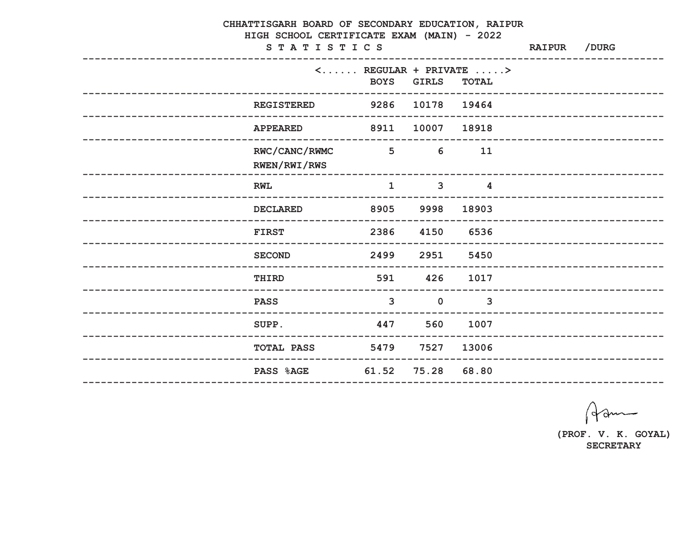| CHHATTISGARH BOARD OF SECONDARY EDUCATION, RAIPUR<br>HIGH SCHOOL CERTIFICATE EXAM (MAIN) - 2022 |                 |              |                                                                                    |               |                             |  |  |  |
|-------------------------------------------------------------------------------------------------|-----------------|--------------|------------------------------------------------------------------------------------|---------------|-----------------------------|--|--|--|
| STATISTICS                                                                                      |                 |              |                                                                                    | <b>RAIPUR</b> | /DURG                       |  |  |  |
|                                                                                                 | <b>BOYS</b>     | <b>GIRLS</b> | $\langle \ldots \ldots \rangle$ REGULAR + PRIVATE $\ldots \rangle$<br><b>TOTAL</b> |               |                             |  |  |  |
| <b>REGISTERED</b>                                                                               | 9286            | 10178 19464  |                                                                                    |               | ------------------------    |  |  |  |
| <b>APPEARED</b>                                                                                 | 8911            | 10007        | 18918                                                                              |               | --------------------------  |  |  |  |
| RWC/CANC/RWMC<br>RWEN/RWI/RWS                                                                   | 5 <sup>5</sup>  | 6            | 11                                                                                 |               |                             |  |  |  |
| <b>RWL</b>                                                                                      | $\mathbf 1$     | $\mathbf{3}$ | 4                                                                                  |               |                             |  |  |  |
| <b>DECLARED</b>                                                                                 | 8905            | 9998         | 18903                                                                              |               |                             |  |  |  |
| <b>FIRST</b>                                                                                    | 2386            | 4150         | 6536                                                                               |               |                             |  |  |  |
| <b>SECOND</b>                                                                                   | 2499            | 2951         | 5450                                                                               |               | -------------------------   |  |  |  |
| THIRD                                                                                           | 591             | 426          | 1017                                                                               |               | --------------------------- |  |  |  |
| <b>PASS</b><br>-----------------------------------                                              | $\mathbf{3}$    | $\mathbf 0$  | $\mathbf{3}$                                                                       |               |                             |  |  |  |
| SUPP.                                                                                           | 447 560         |              | 1007                                                                               |               |                             |  |  |  |
| <b>TOTAL PASS</b>                                                                               | 5479 7527 13006 |              |                                                                                    |               |                             |  |  |  |
| PASS %AGE 61.52 75.28 68.80                                                                     |                 |              |                                                                                    |               |                             |  |  |  |
|                                                                                                 |                 |              |                                                                                    |               |                             |  |  |  |

Ham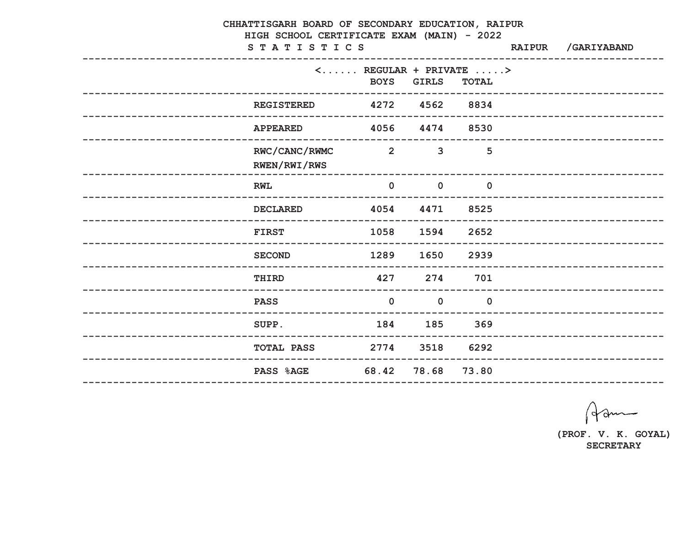|                  | CHHATTISGARH BOARD OF SECONDARY EDUCATION, RAIPUR<br>HIGH SCHOOL CERTIFICATE EXAM (MAIN) - 2022<br>STATISTICS | <b>RAIPUR</b>                                                                     | /GARIYABAND    |                |  |                              |
|------------------|---------------------------------------------------------------------------------------------------------------|-----------------------------------------------------------------------------------|----------------|----------------|--|------------------------------|
|                  | ----------------                                                                                              | $\langle \ldots \ldots \rangle$ REGULAR + PRIVATE $\ldots \rangle$<br><b>BOYS</b> | <b>GIRLS</b>   | <b>TOTAL</b>   |  |                              |
|                  | <b>REGISTERED</b>                                                                                             | 4272 4562 8834<br>---------------------------                                     |                |                |  | ___________________________  |
|                  | <b>APPEARED</b>                                                                                               | 4056 4474 8530                                                                    |                |                |  | --------------------------   |
|                  | RWC/CANC/RWMC<br>RWEN/RWI/RWS                                                                                 | $\overline{\mathbf{2}}$                                                           | $\overline{3}$ | 5              |  |                              |
|                  | <b>RWL</b>                                                                                                    | $\mathbf 0$                                                                       | $\mathbf 0$    | $\mathbf 0$    |  |                              |
|                  | <b>DECLARED</b>                                                                                               | 4054                                                                              | 4471           | 8525           |  |                              |
|                  | <b>FIRST</b>                                                                                                  | 1058                                                                              | 1594           | 2652           |  | ___________________          |
|                  | <b>SECOND</b>                                                                                                 | 1289                                                                              | 1650           | 2939           |  | --------------------------   |
|                  | THIRD                                                                                                         | 427                                                                               | 274            | 701            |  | ---------------------------- |
| ---------------- | <b>PASS</b><br>----------------------------                                                                   | $\mathbf 0$                                                                       | $\mathbf 0$    | $\overline{0}$ |  |                              |
|                  | SUPP.                                                                                                         | 184 185 369                                                                       |                |                |  |                              |
|                  | <b>TOTAL PASS 2774 3518 6292</b>                                                                              |                                                                                   |                |                |  |                              |
|                  | PASS %AGE 68.42 78.68 73.80<br>--------------                                                                 |                                                                                   |                |                |  |                              |

Ham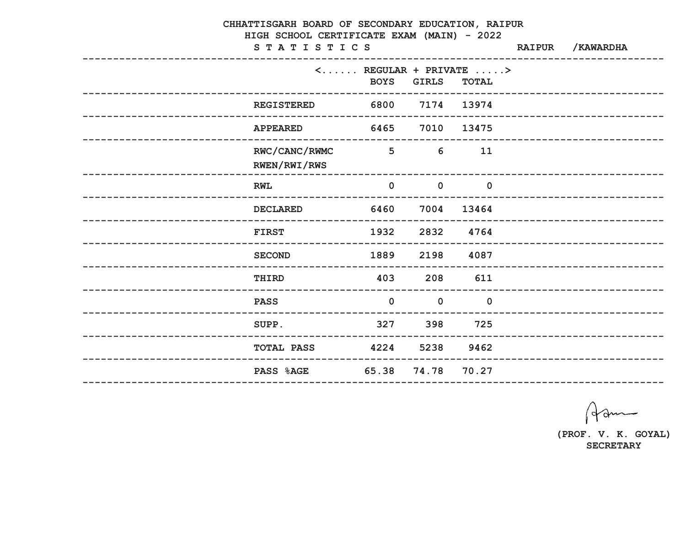|  | CHHATTISGARH BOARD OF SECONDARY EDUCATION, RAIPUR<br>HIGH SCHOOL CERTIFICATE EXAM (MAIN) - 2022 | <b>RAIPUR</b>            | /KAWARDHA                              |                                                                                    |  |                           |
|--|-------------------------------------------------------------------------------------------------|--------------------------|----------------------------------------|------------------------------------------------------------------------------------|--|---------------------------|
|  | STATISTICS                                                                                      |                          |                                        |                                                                                    |  |                           |
|  |                                                                                                 | <b>BOYS</b>              | <b>GIRLS</b>                           | $\langle \ldots \ldots \rangle$ REGULAR + PRIVATE $\ldots \rangle$<br><b>TOTAL</b> |  |                           |
|  | -------------------------------------<br><b>REGISTERED</b>                                      | 6800                     | --------------<br>7174                 | 13974                                                                              |  | ------------------------  |
|  | <b>APPEARED</b>                                                                                 | 6465                     | 7010                                   | 13475                                                                              |  |                           |
|  | RWC/CANC/RWMC<br>RWEN/RWI/RWS                                                                   | $\overline{\phantom{1}}$ | 6                                      | 11                                                                                 |  |                           |
|  | <b>RWL</b>                                                                                      | $\mathbf 0$              | $\mathbf 0$<br>----------------------- | $\mathbf 0$                                                                        |  |                           |
|  | <b>DECLARED</b>                                                                                 | 6460                     |                                        | 7004 13464                                                                         |  |                           |
|  | <b>FIRST</b>                                                                                    | 1932                     | 2832                                   | 4764                                                                               |  |                           |
|  | <b>SECOND</b>                                                                                   | 1889                     | 2198                                   | 4087                                                                               |  |                           |
|  | <b>THIRD</b>                                                                                    | 403                      | 208                                    | 611                                                                                |  | _________________________ |
|  | <b>PASS</b>                                                                                     | $\mathbf 0$              | $\mathbf 0$                            | $\mathbf 0$                                                                        |  | ________________________  |
|  | SUPP.                                                                                           | 327                      |                                        | 398 725                                                                            |  |                           |
|  | <b>TOTAL PASS</b>                                                                               | 4224 5238 9462           |                                        |                                                                                    |  |                           |
|  | <b>PASS %AGE</b>                                                                                | 65.38                    | 74.78                                  | 70.27                                                                              |  |                           |
|  |                                                                                                 |                          |                                        |                                                                                    |  |                           |

Ham

(PROF. V. K. GOYAL) **SECRETARY**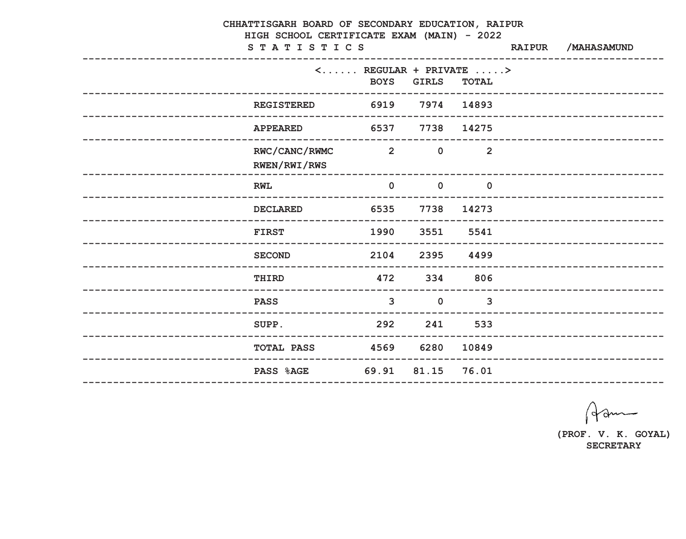| CHHATTISGARH BOARD OF SECONDARY EDUCATION, RAIPUR<br>HIGH SCHOOL CERTIFICATE EXAM (MAIN) - 2022 |                                                                         |                                                                                   |              |                |               |                            |  |  |  |
|-------------------------------------------------------------------------------------------------|-------------------------------------------------------------------------|-----------------------------------------------------------------------------------|--------------|----------------|---------------|----------------------------|--|--|--|
|                                                                                                 | STATISTICS                                                              |                                                                                   |              |                | <b>RAIPUR</b> | /MAHASAMUND                |  |  |  |
|                                                                                                 | ------------------                                                      | $\langle \ldots \ldots \rangle$ REGULAR + PRIVATE $\ldots \rangle$<br><b>BOYS</b> | <b>GIRLS</b> | <b>TOTAL</b>   |               |                            |  |  |  |
|                                                                                                 | <b>REGISTERED</b>                                                       | 6919 7974 14893                                                                   |              |                |               | -------------------------- |  |  |  |
|                                                                                                 | <b>APPEARED</b>                                                         | 6537                                                                              | 7738         | 14275          |               | -------------------------- |  |  |  |
|                                                                                                 | RWC/CANC/RWMC<br>RWEN/RWI/RWS                                           | $\sim$ 2                                                                          | $\mathbf 0$  | $\overline{2}$ |               |                            |  |  |  |
|                                                                                                 | <b>RWL</b>                                                              | $\mathbf 0$                                                                       | $\mathbf 0$  | $\mathbf 0$    |               |                            |  |  |  |
|                                                                                                 | <b>DECLARED</b>                                                         | 6535                                                                              | 7738         | 14273          |               |                            |  |  |  |
|                                                                                                 | <b>FIRST</b>                                                            | 1990                                                                              | 3551         | 5541           |               |                            |  |  |  |
|                                                                                                 | <b>SECOND</b>                                                           | 2104                                                                              | 2395         | 4499           |               | __________________________ |  |  |  |
|                                                                                                 | THIRD                                                                   | 472                                                                               | 334          | 806            |               | -------------------------- |  |  |  |
|                                                                                                 | <b>PASS</b><br>-----------------<br>----------------------------------- | $\mathbf{3}$                                                                      | $\mathbf 0$  | $\mathbf{3}$   |               |                            |  |  |  |
|                                                                                                 | SUPP.                                                                   | 292 241 533                                                                       |              |                |               |                            |  |  |  |
|                                                                                                 | TOTAL PASS 4569 6280 10849                                              |                                                                                   |              |                |               |                            |  |  |  |
|                                                                                                 | PASS %AGE 69.91 81.15 76.01                                             |                                                                                   |              |                |               |                            |  |  |  |
|                                                                                                 |                                                                         |                                                                                   |              |                |               |                            |  |  |  |

Ham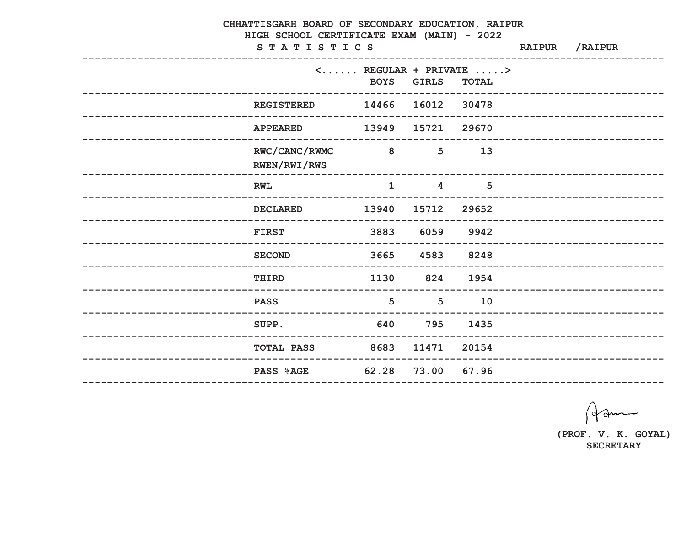| CHHATTISGARH BOARD OF SECONDARY EDUCATION, RAIPUR<br>HIGH SCHOOL CERTIFICATE EXAM (MAIN) - 2022 |                               |                                                        |                                           |                                                     |  |                              |  |  |  |
|-------------------------------------------------------------------------------------------------|-------------------------------|--------------------------------------------------------|-------------------------------------------|-----------------------------------------------------|--|------------------------------|--|--|--|
|                                                                                                 | STATISTICS                    |                                                        |                                           | ----------------                                    |  | RAIPUR / RAIPUR              |  |  |  |
|                                                                                                 |                               | $\langle \ldots \ldots$ REGULAR + PRIVATE $\ldots \ge$ | <b>BOYS GIRLS</b>                         | <b>TOTAL</b>                                        |  |                              |  |  |  |
|                                                                                                 | <b>REGISTERED</b>             |                                                        | 14466 16012 30478<br>-------------------- |                                                     |  | ---------------------------- |  |  |  |
|                                                                                                 | <b>APPEARED</b>               |                                                        | 13949 15721 29670                         |                                                     |  | --------------------------   |  |  |  |
|                                                                                                 | RWC/CANC/RWMC<br>RWEN/RWI/RWS | $\overline{\mathbf{8}}$                                | 5 <sup>1</sup>                            | 13                                                  |  |                              |  |  |  |
|                                                                                                 | <b>RWL</b>                    | $\mathbf{1}$                                           |                                           | 5<br>$\overline{4}$<br>---------------------------- |  |                              |  |  |  |
|                                                                                                 | <b>DECLARED</b>               | 13940                                                  | 15712 29652                               |                                                     |  | --------------------------   |  |  |  |
|                                                                                                 | <b>FIRST</b>                  | 3883                                                   | 6059                                      | 9942                                                |  |                              |  |  |  |
|                                                                                                 | <b>SECOND</b>                 |                                                        | 3665 4583                                 | 8248                                                |  | ----------------------       |  |  |  |
| __________________________                                                                      | THIRD                         | 1130                                                   | 824                                       | 1954                                                |  | --------------------------   |  |  |  |
|                                                                                                 | <b>PASS</b>                   | 5                                                      | 5 <sup>5</sup>                            | 10                                                  |  |                              |  |  |  |
|                                                                                                 | SUPP.                         | 640 795                                                |                                           | 1435                                                |  |                              |  |  |  |
|                                                                                                 | TOTAL PASS 8683 11471 20154   |                                                        |                                           |                                                     |  |                              |  |  |  |
|                                                                                                 | <b>PASS %AGE</b>              |                                                        | 62.28 73.00 67.96                         |                                                     |  |                              |  |  |  |
|                                                                                                 |                               |                                                        |                                           |                                                     |  |                              |  |  |  |

Ham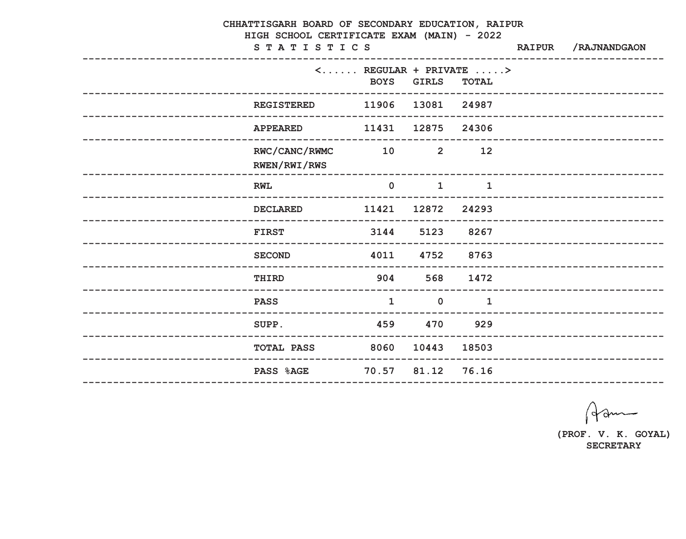| CHHATTISGARH BOARD OF SECONDARY EDUCATION, RAIPUR<br>HIGH SCHOOL CERTIFICATE EXAM (MAIN) - 2022 |                               |                            |                   |                                                                                    |               |                              |  |  |  |
|-------------------------------------------------------------------------------------------------|-------------------------------|----------------------------|-------------------|------------------------------------------------------------------------------------|---------------|------------------------------|--|--|--|
|                                                                                                 | STATISTICS                    |                            |                   |                                                                                    | <b>RAIPUR</b> | /RAJNANDGAON                 |  |  |  |
|                                                                                                 | ----------------              | <b>BOYS</b>                | <b>GIRLS</b>      | $\langle \ldots \ldots \rangle$ REGULAR + PRIVATE $\ldots \rangle$<br><b>TOTAL</b> |               |                              |  |  |  |
|                                                                                                 | <b>REGISTERED</b>             | 11906                      | 13081 24987       |                                                                                    |               | --------------------------   |  |  |  |
|                                                                                                 | <b>APPEARED</b>               | 11431                      | 12875             | 24306                                                                              |               | --------------------------   |  |  |  |
|                                                                                                 | RWC/CANC/RWMC<br>RWEN/RWI/RWS | 10                         |                   | $2 \qquad \qquad 12$                                                               |               |                              |  |  |  |
|                                                                                                 | <b>RWL</b>                    | $\mathbf 0$                | $\mathbf{1}$      | $\mathbf{1}$                                                                       |               |                              |  |  |  |
|                                                                                                 | <b>DECLARED</b>               | 11421                      | 12872             | 24293                                                                              |               |                              |  |  |  |
|                                                                                                 | <b>FIRST</b>                  | 3144<br>------------------ | 5123              | 8267                                                                               |               | ______________________       |  |  |  |
|                                                                                                 | <b>SECOND</b>                 | 4011                       | 4752              | 8763                                                                               |               |                              |  |  |  |
|                                                                                                 | <b>THIRD</b>                  | 904                        | 568               | 1472                                                                               |               | ---------------------------- |  |  |  |
|                                                                                                 | <b>PASS</b>                   | $\mathbf{1}$               | $\mathbf 0$       | $\mathbf{1}$                                                                       |               |                              |  |  |  |
|                                                                                                 | SUPP.                         |                            | 459 470 929       |                                                                                    |               |                              |  |  |  |
|                                                                                                 | <b>TOTAL PASS</b>             |                            | 8060 10443 18503  |                                                                                    |               |                              |  |  |  |
|                                                                                                 | <b>PASS %AGE</b>              |                            | 70.57 81.12 76.16 |                                                                                    |               |                              |  |  |  |
|                                                                                                 |                               |                            |                   |                                                                                    |               |                              |  |  |  |

Ham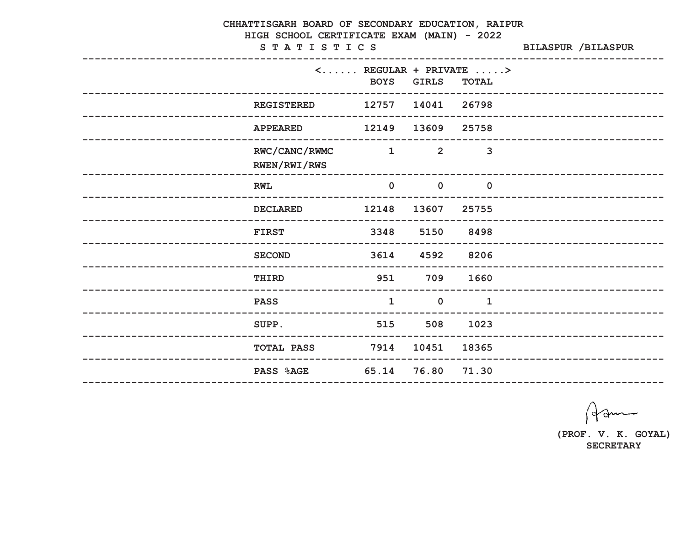|                    | CHHATTISGARH BOARD OF SECONDARY EDUCATION, RAIPUR<br>HIGH SCHOOL CERTIFICATE EXAM (MAIN) - 2022<br>STATISTICS | <b>BILASPUR /BILASPUR</b> |                |                                                                                    |                             |
|--------------------|---------------------------------------------------------------------------------------------------------------|---------------------------|----------------|------------------------------------------------------------------------------------|-----------------------------|
|                    | -----------------                                                                                             | <b>BOYS</b>               | <b>GIRLS</b>   | $\langle \ldots \ldots \rangle$ REGULAR + PRIVATE $\ldots \rangle$<br><b>TOTAL</b> |                             |
|                    | <b>REGISTERED</b>                                                                                             | 12757 14041 26798         |                |                                                                                    | __________________________  |
|                    | <b>APPEARED</b>                                                                                               | 12149                     | 13609          | 25758                                                                              | --------------------------- |
|                    | RWC/CANC/RWMC<br>RWEN/RWI/RWS                                                                                 | $\sim$ 1                  | $\overline{2}$ | 3                                                                                  |                             |
|                    | <b>RWL</b>                                                                                                    | $\mathbf 0$               | $\mathbf 0$    | $\mathbf 0$                                                                        |                             |
|                    | <b>DECLARED</b>                                                                                               | 12148                     | 13607          | 25755                                                                              |                             |
|                    | <b>FIRST</b>                                                                                                  | 3348                      | 5150           | 8498                                                                               |                             |
|                    | <b>SECOND</b>                                                                                                 | 3614                      | 4592           | 8206                                                                               | --------------------------  |
|                    | THIRD                                                                                                         | 951                       | 709            | 1660                                                                               | --------------------------  |
| ------------------ | <b>PASS</b>                                                                                                   | $\mathbf{1}$              | $\mathbf 0$    | $\mathbf{1}$                                                                       |                             |
|                    | SUPP.                                                                                                         | 515 508 1023              |                |                                                                                    |                             |
|                    | TOTAL PASS 7914 10451 18365                                                                                   |                           |                |                                                                                    |                             |
|                    | PASS %AGE 65.14 76.80 71.30                                                                                   |                           |                |                                                                                    |                             |

Ham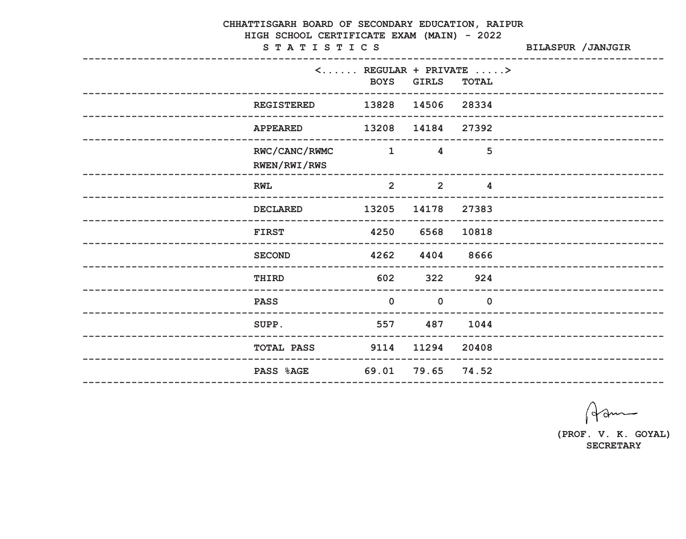| CHHATTISGARH BOARD OF SECONDARY EDUCATION, RAIPUR<br>HIGH SCHOOL CERTIFICATE EXAM (MAIN) - 2022<br>STATISTICS<br><b>BILASPUR / JANJGIR</b> |                                                                                                                                                                                                                                                                                                                                                                                                                                                                                 |                         |                                                                                    |  |                              |  |  |
|--------------------------------------------------------------------------------------------------------------------------------------------|---------------------------------------------------------------------------------------------------------------------------------------------------------------------------------------------------------------------------------------------------------------------------------------------------------------------------------------------------------------------------------------------------------------------------------------------------------------------------------|-------------------------|------------------------------------------------------------------------------------|--|------------------------------|--|--|
|                                                                                                                                            |                                                                                                                                                                                                                                                                                                                                                                                                                                                                                 | <b>BOYS GIRLS</b>       | $\langle \ldots \ldots \rangle$ REGULAR + PRIVATE $\ldots \rangle$<br><b>TOTAL</b> |  |                              |  |  |
| ____________________________________<br><b>REGISTERED</b>                                                                                  |                                                                                                                                                                                                                                                                                                                                                                                                                                                                                 | 13828 14506 28334       |                                                                                    |  | ----------------------       |  |  |
| <b>APPEARED</b>                                                                                                                            | 13208                                                                                                                                                                                                                                                                                                                                                                                                                                                                           | 14184 27392             |                                                                                    |  | --------------------------   |  |  |
| RWC/CANC/RWMC<br>RWEN/RWI/RWS                                                                                                              | $\overline{\phantom{a}}$ $\overline{\phantom{a}}$ $\overline{\phantom{a}}$ $\overline{\phantom{a}}$ $\overline{\phantom{a}}$ $\overline{\phantom{a}}$ $\overline{\phantom{a}}$ $\overline{\phantom{a}}$ $\overline{\phantom{a}}$ $\overline{\phantom{a}}$ $\overline{\phantom{a}}$ $\overline{\phantom{a}}$ $\overline{\phantom{a}}$ $\overline{\phantom{a}}$ $\overline{\phantom{a}}$ $\overline{\phantom{a}}$ $\overline{\phantom{a}}$ $\overline{\phantom{a}}$ $\overline{\$ | $\overline{4}$          | 5                                                                                  |  |                              |  |  |
| <b>RWL</b>                                                                                                                                 | $\overline{2}$                                                                                                                                                                                                                                                                                                                                                                                                                                                                  | $\overline{\mathbf{2}}$ | $\overline{\mathbf{4}}$                                                            |  |                              |  |  |
| <b>DECLARED</b>                                                                                                                            | 13205                                                                                                                                                                                                                                                                                                                                                                                                                                                                           | 14178                   | 27383                                                                              |  | ____________________________ |  |  |
| <b>FIRST</b>                                                                                                                               | 4250                                                                                                                                                                                                                                                                                                                                                                                                                                                                            | 6568                    | 10818                                                                              |  |                              |  |  |
| <b>SECOND</b>                                                                                                                              | 4262                                                                                                                                                                                                                                                                                                                                                                                                                                                                            | 4404                    | 8666                                                                               |  | ________________________     |  |  |
| THIRD                                                                                                                                      | 602                                                                                                                                                                                                                                                                                                                                                                                                                                                                             | 322                     | 924                                                                                |  | --------------------------   |  |  |
| <b>PASS</b>                                                                                                                                | $\mathbf 0$                                                                                                                                                                                                                                                                                                                                                                                                                                                                     | $\mathbf 0$             | $\mathbf 0$                                                                        |  |                              |  |  |
| 557 487 1044<br>SUPP.                                                                                                                      |                                                                                                                                                                                                                                                                                                                                                                                                                                                                                 |                         |                                                                                    |  |                              |  |  |
| <b>TOTAL PASS</b> 9114 11294 20408                                                                                                         |                                                                                                                                                                                                                                                                                                                                                                                                                                                                                 |                         |                                                                                    |  |                              |  |  |
| <b>PASS %AGE</b>                                                                                                                           |                                                                                                                                                                                                                                                                                                                                                                                                                                                                                 | 69.01 79.65 74.52       |                                                                                    |  |                              |  |  |
|                                                                                                                                            |                                                                                                                                                                                                                                                                                                                                                                                                                                                                                 |                         |                                                                                    |  |                              |  |  |

Ham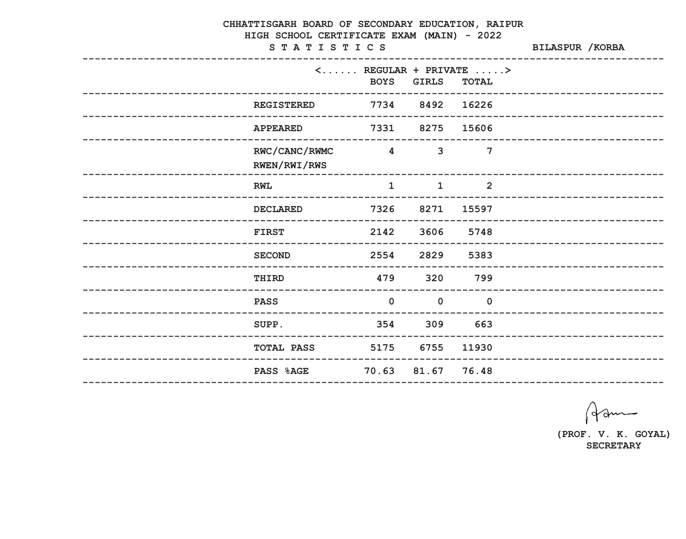| CHHATTISGARH BOARD OF SECONDARY EDUCATION, RAIPUR<br>HIGH SCHOOL CERTIFICATE EXAM (MAIN) - 2022<br>STATISTICS | <b>BILASPUR / KORBA</b>               |                |                                                                                    |  |                            |
|---------------------------------------------------------------------------------------------------------------|---------------------------------------|----------------|------------------------------------------------------------------------------------|--|----------------------------|
| ----------------                                                                                              | <b>BOYS</b>                           | <b>GIRLS</b>   | $\langle \ldots \ldots \rangle$ REGULAR + PRIVATE $\ldots \rangle$<br><b>TOTAL</b> |  |                            |
| <b>REGISTERED</b>                                                                                             | 7734 8492 16226<br>------------------ |                |                                                                                    |  | _______________________    |
| <b>APPEARED</b>                                                                                               | 7331                                  | 8275           | 15606                                                                              |  | -------------------------- |
| RWC/CANC/RWMC<br>RWEN/RWI/RWS                                                                                 | $\overline{4}$                        | $\overline{3}$ | 7                                                                                  |  |                            |
| <b>RWL</b>                                                                                                    | $\mathbf{1}$                          | $\mathbf{1}$   | $\overline{2}$                                                                     |  |                            |
| <b>DECLARED</b>                                                                                               | 7326                                  | 8271           | 15597                                                                              |  |                            |
| <b>FIRST</b>                                                                                                  | 2142                                  | 3606           | 5748                                                                               |  |                            |
| <b>SECOND</b>                                                                                                 | 2554                                  | 2829           | 5383                                                                               |  | ------------------------   |
| THIRD                                                                                                         | 479                                   | 320            | 799                                                                                |  | -------------------------- |
| <b>PASS</b><br>---------------------------                                                                    | $\overline{0}$                        | $\mathbf 0$    | $\overline{0}$                                                                     |  |                            |
| SUPP.                                                                                                         | 354 309 663                           |                |                                                                                    |  |                            |
| <b>TOTAL PASS</b>                                                                                             | 5175 6755 11930                       |                |                                                                                    |  |                            |
| <b>PASS %AGE</b>                                                                                              | 70.63 81.67 76.48                     |                |                                                                                    |  |                            |

Ham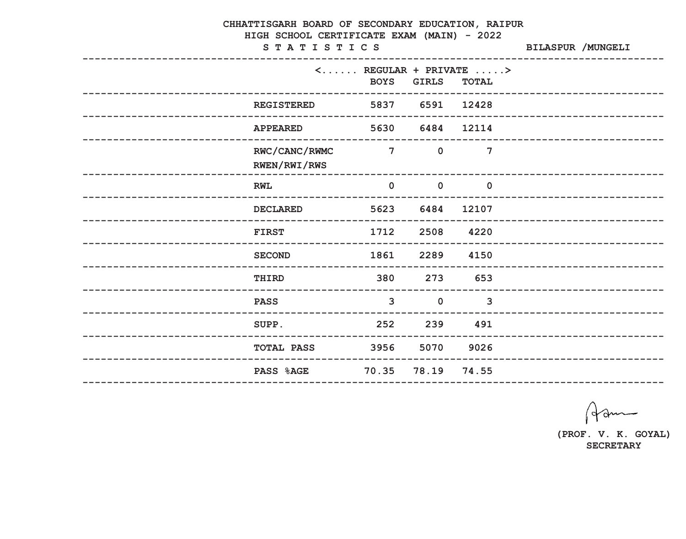|                    | CHHATTISGARH BOARD OF SECONDARY EDUCATION, RAIPUR<br>HIGH SCHOOL CERTIFICATE EXAM (MAIN) - 2022<br>STATISTICS |                                              | BILASPUR / MUNGELI |                                                                                    |  |                             |
|--------------------|---------------------------------------------------------------------------------------------------------------|----------------------------------------------|--------------------|------------------------------------------------------------------------------------|--|-----------------------------|
|                    | ----------------                                                                                              | <b>BOYS</b>                                  | <b>GIRLS</b>       | $\langle \ldots \ldots \rangle$ REGULAR + PRIVATE $\ldots \rangle$<br><b>TOTAL</b> |  |                             |
|                    | <b>REGISTERED</b>                                                                                             | 5837 6591 12428<br>------------------------- |                    |                                                                                    |  | _________________________   |
|                    | <b>APPEARED</b>                                                                                               |                                              | 5630 6484          | 12114                                                                              |  | --------------------------  |
|                    | RWC/CANC/RWMC<br>RWEN/RWI/RWS                                                                                 | $\overline{7}$                               | $\mathbf 0$        | 7                                                                                  |  |                             |
|                    | <b>RWL</b>                                                                                                    | $\mathbf 0$                                  | $\mathbf 0$        | $\mathbf 0$                                                                        |  |                             |
|                    | <b>DECLARED</b>                                                                                               | 5623                                         | 6484               | 12107                                                                              |  |                             |
|                    | <b>FIRST</b>                                                                                                  | 1712                                         | 2508               | 4220                                                                               |  | ___________________         |
|                    | <b>SECOND</b>                                                                                                 | 1861                                         | 2289               | 4150                                                                               |  | --------------------------  |
|                    | THIRD                                                                                                         | 380                                          | 273                | 653                                                                                |  | --------------------------- |
| ------------------ | <b>PASS</b><br>---------------------------                                                                    | $\mathbf{3}$                                 | $\mathbf 0$        | $\mathbf{3}$                                                                       |  |                             |
|                    | SUPP.                                                                                                         | 252 239 491                                  |                    |                                                                                    |  |                             |
|                    | <b>TOTAL PASS</b>                                                                                             | 3956 5070 9026                               |                    |                                                                                    |  |                             |
|                    | PASS %AGE                                                                                                     | 70.35 78.19 74.55                            |                    |                                                                                    |  |                             |

Ham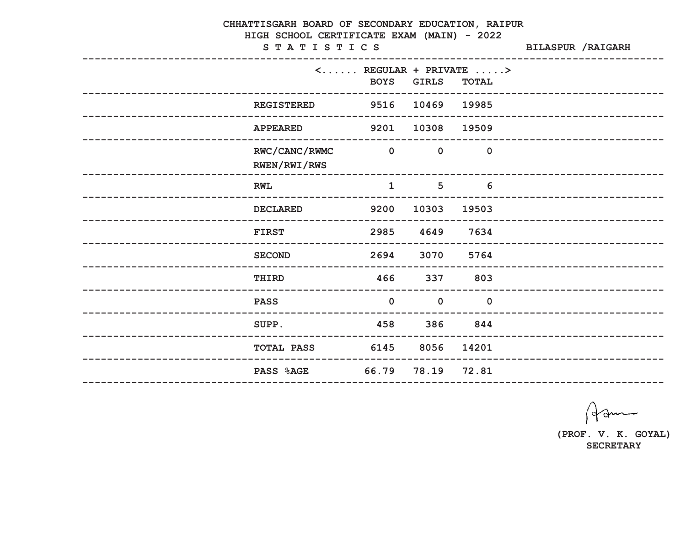|                                          | CHHATTISGARH BOARD OF SECONDARY EDUCATION, RAIPUR<br>HIGH SCHOOL CERTIFICATE EXAM (MAIN) - 2022<br>STATISTICS |              |                                          |                |  |                             |  |
|------------------------------------------|---------------------------------------------------------------------------------------------------------------|--------------|------------------------------------------|----------------|--|-----------------------------|--|
|                                          | $\langle \ldots \ldots$ REGULAR + PRIVATE $\ldots \ge$<br><b>BOYS</b><br>__________________________________   | <b>GIRLS</b> |                                          | <b>TOTAL</b>   |  | --------------------------  |  |
|                                          | <b>REGISTERED</b>                                                                                             |              | 9516 10469 19985                         |                |  |                             |  |
|                                          | 9201<br><b>APPEARED</b>                                                                                       |              | 10308                                    | 19509          |  | __________________________  |  |
|                                          | RWC/CANC/RWMC<br>$\overline{\mathbf{0}}$<br>RWEN/RWI/RWS                                                      |              | $\mathbf 0$                              | $\overline{0}$ |  |                             |  |
| <b>RWL</b>                               |                                                                                                               | $\mathbf{1}$ | 5 <sup>5</sup><br>---------------------- | 6              |  |                             |  |
|                                          | 9200<br><b>DECLARED</b>                                                                                       |              | 10303                                    | 19503          |  |                             |  |
| <b>FIRST</b>                             | 2985                                                                                                          |              | 4649                                     | 7634           |  |                             |  |
|                                          | 2694<br><b>SECOND</b>                                                                                         |              | 3070                                     | 5764           |  | _____________________       |  |
| THIRD<br>__________________________      | 466                                                                                                           |              | 337                                      | 803            |  | --------------------------- |  |
| <b>PASS</b><br>_________________________ | --------------------------------------                                                                        | $\mathbf 0$  | $\mathbf 0$                              | $\mathbf 0$    |  |                             |  |
| SUPP.                                    | 458                                                                                                           |              | 386 844                                  |                |  |                             |  |
|                                          | <b>TOTAL PASS</b>                                                                                             | 6145 8056    |                                          | 14201          |  |                             |  |
|                                          | 66.79<br><b>PASS %AGE</b>                                                                                     |              | 78.19 72.81                              |                |  |                             |  |

Ham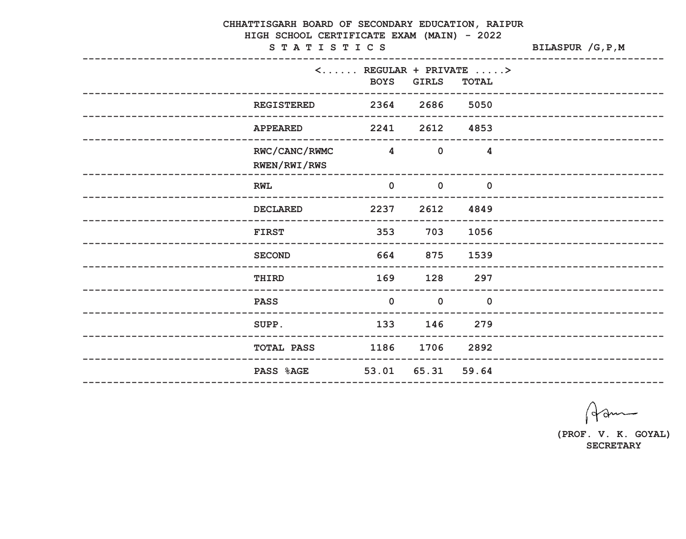|                            | CHHATTISGARH BOARD OF SECONDARY EDUCATION, RAIPUR<br>HIGH SCHOOL CERTIFICATE EXAM (MAIN) - 2022 |                       |                   |                                                                        |                    |                             |
|----------------------------|-------------------------------------------------------------------------------------------------|-----------------------|-------------------|------------------------------------------------------------------------|--------------------|-----------------------------|
|                            | STATISTICS                                                                                      |                       |                   |                                                                        | BILASPUR / G, P, M |                             |
|                            |                                                                                                 | <b>BOYS</b>           | <b>GIRLS</b>      | $\langle \ldots \ldots$ REGULAR + PRIVATE $\ldots \ge$<br><b>TOTAL</b> |                    |                             |
|                            | <b>REGISTERED</b>                                                                               | -------------<br>2364 | 2686              | 5050                                                                   |                    | __________________________  |
|                            | <b>APPEARED</b>                                                                                 | 2241                  | 2612              | 4853                                                                   |                    | _________________________   |
|                            | RWC/CANC/RWMC<br>RWEN/RWI/RWS                                                                   | $\overline{4}$        | $\mathbf 0$       | $\overline{\mathbf{4}}$                                                |                    |                             |
|                            | <b>RWL</b>                                                                                      | $\mathbf 0$           | $\mathbf 0$       | $\mathbf 0$                                                            |                    | ______________________      |
|                            | <b>DECLARED</b>                                                                                 | 2237                  | 2612              | 4849                                                                   |                    |                             |
|                            | <b>FIRST</b>                                                                                    | 353                   | 703               | 1056                                                                   |                    |                             |
| -------------------------- | <b>SECOND</b>                                                                                   | 664                   | 875               | 1539                                                                   |                    | -------------------------   |
|                            | THIRD<br>_____________________________                                                          | 169                   | 128               | 297                                                                    |                    | --------------------------- |
|                            | <b>PASS</b>                                                                                     | $\mathbf 0$           | $\mathbf 0$       | $\mathbf 0$                                                            |                    |                             |
|                            | SUPP.                                                                                           | 133                   | 146 279           |                                                                        |                    |                             |
|                            | <b>TOTAL PASS</b>                                                                               | 1186 1706 2892        |                   |                                                                        |                    |                             |
|                            | <b>PASS %AGE</b>                                                                                |                       | 53.01 65.31 59.64 |                                                                        |                    |                             |

Ham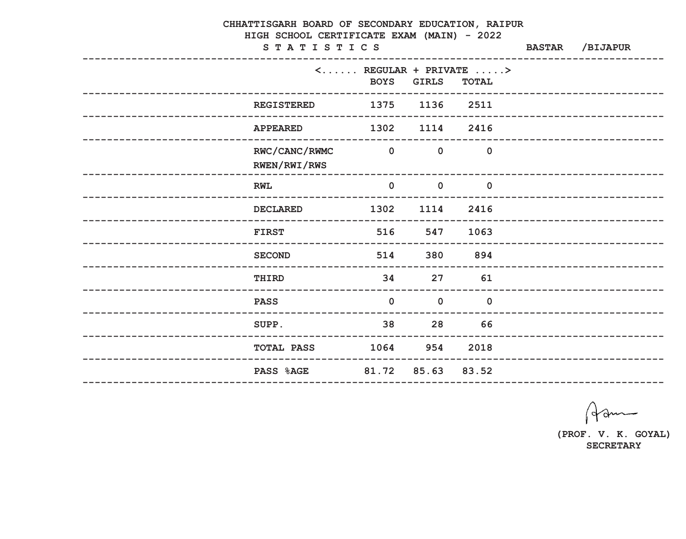| CHHATTISGARH BOARD OF SECONDARY EDUCATION, RAIPUR<br>HIGH SCHOOL CERTIFICATE EXAM (MAIN) - 2022<br>STATISTICS | <b>BASTAR</b>                                                                     | /BIJAPUR       |                |  |                             |
|---------------------------------------------------------------------------------------------------------------|-----------------------------------------------------------------------------------|----------------|----------------|--|-----------------------------|
|                                                                                                               | $\langle \ldots \ldots \rangle$ REGULAR + PRIVATE $\ldots \rangle$<br><b>BOYS</b> | <b>GIRLS</b>   | <b>TOTAL</b>   |  | ------------------------    |
|                                                                                                               | 1375 1136 2511<br><b>REGISTERED</b>                                               |                |                |  |                             |
| <b>APPEARED</b>                                                                                               | 1302 1114 2416                                                                    |                |                |  | --------------------------- |
|                                                                                                               | RWC/CANC/RWMC<br>$\overline{a}$<br>RWEN/RWI/RWS                                   | $\mathbf 0$    | $\overline{0}$ |  |                             |
| <b>RWL</b>                                                                                                    | $\mathbf 0$                                                                       | $\overline{0}$ | $\overline{0}$ |  |                             |
| <b>DECLARED</b>                                                                                               | 1302                                                                              | 1114           | 2416           |  |                             |
| <b>FIRST</b><br>----------                                                                                    | 516                                                                               | 547            | 1063           |  | _____________________       |
| <b>SECOND</b>                                                                                                 |                                                                                   | 514<br>380     | 894            |  | _________________________   |
| THIRD                                                                                                         | 34                                                                                | 27             | 61             |  | --------------------------- |
| <b>PASS</b><br>-----------------                                                                              | $\overline{0}$<br>____________________________________                            | $\overline{0}$ | $\mathbf 0$    |  |                             |
| SUPP.                                                                                                         | 38                                                                                |                | 28 66          |  |                             |
|                                                                                                               | <b>TOTAL PASS 1064 954 2018</b>                                                   |                |                |  |                             |
|                                                                                                               | PASS %AGE 81.72 85.63 83.52                                                       |                |                |  |                             |

Ham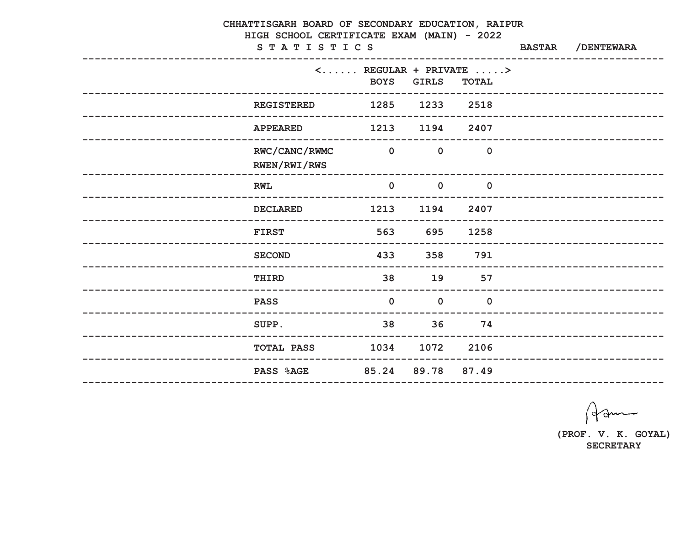| CHHATTISGARH BOARD OF SECONDARY EDUCATION, RAIPUR<br>HIGH SCHOOL CERTIFICATE EXAM (MAIN) - 2022 |                               |                         |                         |                                                                                    |               |                             |  |
|-------------------------------------------------------------------------------------------------|-------------------------------|-------------------------|-------------------------|------------------------------------------------------------------------------------|---------------|-----------------------------|--|
|                                                                                                 | STATISTICS                    |                         |                         | ------------------------------                                                     | <b>BASTAR</b> | /DENTEWARA                  |  |
|                                                                                                 |                               |                         | <b>BOYS</b> GIRLS       | $\langle \ldots \ldots \rangle$ REGULAR + PRIVATE $\ldots \rangle$<br><b>TOTAL</b> |               | --------------------------- |  |
|                                                                                                 | <b>REGISTERED</b>             | 1285 1233 2518          |                         |                                                                                    |               |                             |  |
|                                                                                                 | <b>APPEARED</b>               | 1213 1194 2407          |                         |                                                                                    |               | __________________________  |  |
|                                                                                                 | RWC/CANC/RWMC<br>RWEN/RWI/RWS | $\overline{\mathbf{0}}$ | $\mathbf 0$             | $\overline{0}$                                                                     |               |                             |  |
|                                                                                                 | <b>RWL</b>                    | $\mathbf 0$             | $\overline{\mathbf{0}}$ | $\overline{\mathbf{0}}$                                                            |               |                             |  |
|                                                                                                 | <b>DECLARED</b>               | 1213                    | 1194                    | 2407                                                                               |               | __________________________  |  |
|                                                                                                 | <b>FIRST</b>                  | 563                     | 695                     | 1258                                                                               |               | ________________________    |  |
|                                                                                                 | <b>SECOND</b>                 | 433                     | 358                     | 791                                                                                |               |                             |  |
| ___________________________                                                                     | THIRD                         | 38                      | 19                      | 57                                                                                 |               | --------------------------- |  |
|                                                                                                 | <b>PASS</b>                   | $\mathbf 0$             | $\mathbf 0$             | $\mathbf 0$                                                                        |               |                             |  |
|                                                                                                 | SUPP.                         | 38 36 74                |                         |                                                                                    |               |                             |  |
|                                                                                                 | <b>TOTAL PASS</b>             | 1034 1072 2106          |                         |                                                                                    |               |                             |  |
|                                                                                                 | <b>PASS %AGE</b>              | 85.24 89.78 87.49       |                         |                                                                                    |               |                             |  |
|                                                                                                 |                               |                         |                         |                                                                                    |               |                             |  |

Ham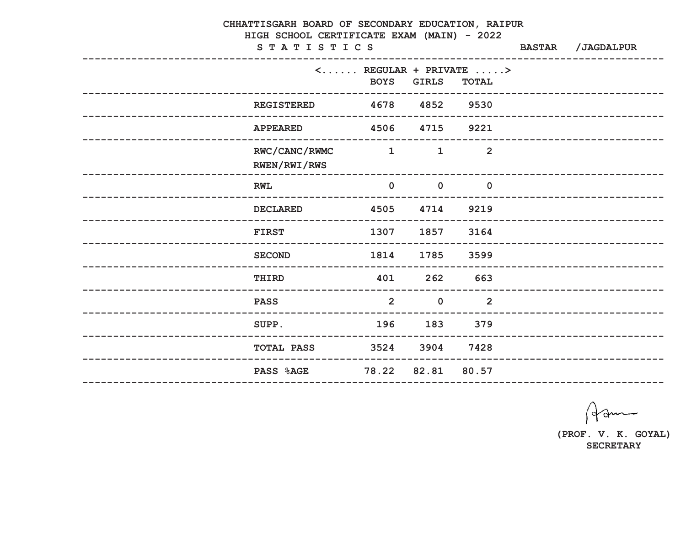| CHHATTISGARH BOARD OF SECONDARY EDUCATION, RAIPUR |                                                          |                |                                                    |                                                                                    |               |                              |  |
|---------------------------------------------------|----------------------------------------------------------|----------------|----------------------------------------------------|------------------------------------------------------------------------------------|---------------|------------------------------|--|
|                                                   | HIGH SCHOOL CERTIFICATE EXAM (MAIN) - 2022<br>STATISTICS |                |                                                    |                                                                                    | <b>BASTAR</b> | /JAGDALPUR                   |  |
|                                                   |                                                          | <b>BOYS</b>    | <b>GIRLS</b>                                       | $\langle \ldots \ldots \rangle$ REGULAR + PRIVATE $\ldots \rangle$<br><b>TOTAL</b> |               | ---------------------------  |  |
|                                                   | <b>REGISTERED</b>                                        | 4678 4852 9530 | --------------------                               |                                                                                    |               |                              |  |
|                                                   | <b>APPEARED</b>                                          | 4506 4715 9221 |                                                    |                                                                                    |               | _________________________    |  |
|                                                   | RWC/CANC/RWMC<br>RWEN/RWI/RWS                            | $\sim$ 1       | $\mathbf{1}$                                       | $\overline{2}$                                                                     |               |                              |  |
|                                                   | <b>RWL</b>                                               | $\mathbf{0}$   | $\overline{\mathbf{0}}$<br>----------------------- | $\overline{\mathbf{0}}$                                                            |               |                              |  |
|                                                   | <b>DECLARED</b>                                          |                | 4505 4714 9219                                     |                                                                                    |               | ---------------------------  |  |
|                                                   | <b>FIRST</b>                                             | 1307           | 1857                                               | 3164                                                                               |               |                              |  |
|                                                   | <b>SECOND</b>                                            | 1814           | 1785                                               | 3599                                                                               |               | -------------------------    |  |
| -------------------------                         | THIRD<br>___________________________                     | 401            | 262                                                | 663<br>-------                                                                     |               | ---------------------------- |  |
| ___________________________                       | <b>PASS</b>                                              | 2 <sup>1</sup> | $\overline{0}$                                     | $\overline{2}$                                                                     |               |                              |  |
|                                                   | SUPP.                                                    | 196            |                                                    | 183 379                                                                            |               |                              |  |
|                                                   | <b>TOTAL PASS</b>                                        |                | 3524 3904 7428                                     |                                                                                    |               |                              |  |
|                                                   | <b>PASS %AGE</b>                                         |                | 78.22 82.81 80.57                                  |                                                                                    |               |                              |  |

Ham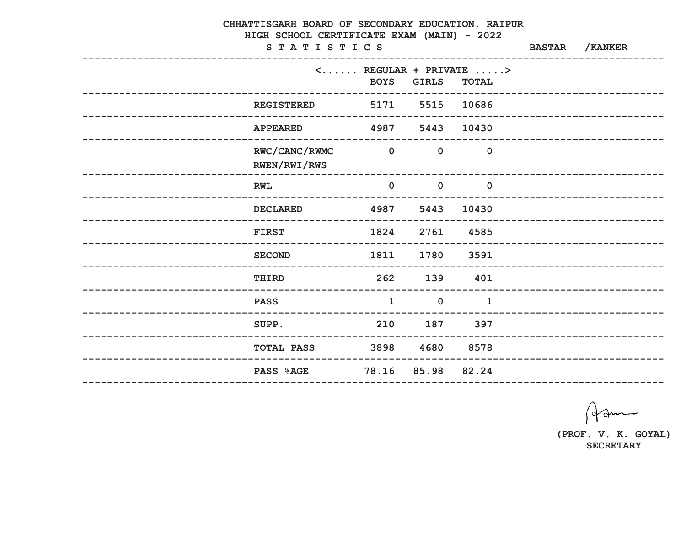| CHHATTISGARH BOARD OF SECONDARY EDUCATION, RAIPUR<br>HIGH SCHOOL CERTIFICATE EXAM (MAIN) - 2022<br>STATISTICS | <b>BASTAR</b>  | /KANKER                                                  |                                                                                    |  |                             |  |
|---------------------------------------------------------------------------------------------------------------|----------------|----------------------------------------------------------|------------------------------------------------------------------------------------|--|-----------------------------|--|
| __________________________________                                                                            | <b>BOYS</b>    | <b>GIRLS</b>                                             | $\langle \ldots \ldots \rangle$ REGULAR + PRIVATE $\ldots \rangle$<br><b>TOTAL</b> |  | ---------------------       |  |
| <b>REGISTERED</b>                                                                                             |                | . _ _ _ _ _ _ _ _ _ _ _ _ _ _ _ _ _ _<br>5171 5515 10686 |                                                                                    |  |                             |  |
| <b>APPEARED</b>                                                                                               | 4987 5443      |                                                          | 10430                                                                              |  | --------------------------- |  |
| RWC/CANC/RWMC<br>RWEN/RWI/RWS                                                                                 | $\overline{a}$ | $\overline{\mathbf{0}}$                                  | $\overline{0}$                                                                     |  |                             |  |
| <b>RWL</b>                                                                                                    | $\mathbf 0$    | $\overline{\mathbf{0}}$                                  | $\overline{\phantom{0}}$ 0                                                         |  |                             |  |
| <b>DECLARED</b>                                                                                               | 4987           | 5443                                                     | 10430                                                                              |  | __________________________  |  |
| <b>FIRST</b>                                                                                                  | 1824           | 2761                                                     | 4585                                                                               |  |                             |  |
| <b>SECOND</b>                                                                                                 | 1811           | 1780                                                     | 3591                                                                               |  | ------------------------    |  |
| THIRD                                                                                                         | 262            | 139                                                      | 401                                                                                |  | --------------------------  |  |
| <b>PASS</b><br>----------------<br>____________________________                                               | $\mathbf{1}$   | $\mathbf 0$                                              | $\mathbf 1$                                                                        |  |                             |  |
| SUPP.                                                                                                         | 210 187 397    |                                                          |                                                                                    |  |                             |  |
| <b>TOTAL PASS</b>                                                                                             | 3898 4680 8578 |                                                          |                                                                                    |  |                             |  |
| <b>PASS %AGE</b>                                                                                              |                | 78.16 85.98 82.24                                        |                                                                                    |  |                             |  |
|                                                                                                               |                |                                                          |                                                                                    |  |                             |  |

Ham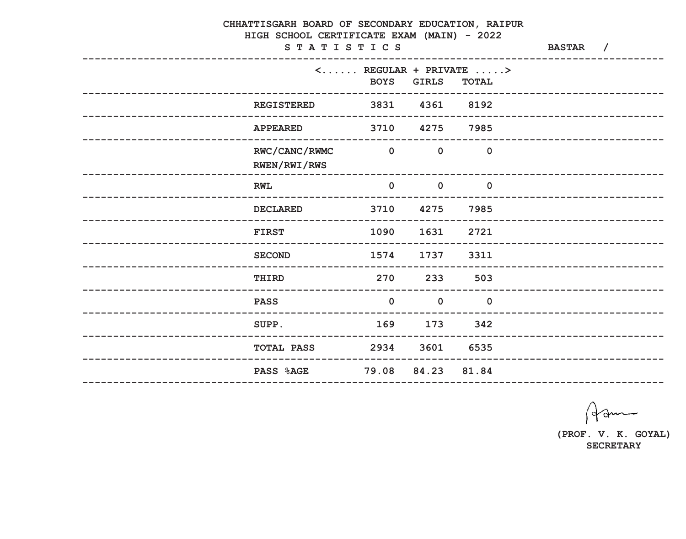|                   | CHHATTISGARH BOARD OF SECONDARY EDUCATION, RAIPUR<br>HIGH SCHOOL CERTIFICATE EXAM (MAIN) - 2022 |                                               |                   |                                                                                    |                            |  |
|-------------------|-------------------------------------------------------------------------------------------------|-----------------------------------------------|-------------------|------------------------------------------------------------------------------------|----------------------------|--|
|                   | STATISTICS                                                                                      | <b>BASTAR</b> /                               |                   |                                                                                    |                            |  |
|                   |                                                                                                 | <b>BOYS</b>                                   | <b>GIRLS</b>      | $\langle \ldots \ldots \rangle$ REGULAR + PRIVATE $\ldots \rangle$<br><b>TOTAL</b> |                            |  |
|                   | <b>REGISTERED</b>                                                                               | 3831 4361 8192<br>--------------------------- |                   |                                                                                    |                            |  |
|                   | <b>APPEARED</b>                                                                                 | 3710 4275                                     |                   | 7985                                                                               | -------------------------  |  |
|                   | RWC/CANC/RWMC<br>RWEN/RWI/RWS                                                                   | $\overline{\mathbf{0}}$                       | $\mathbf 0$       | $\overline{0}$                                                                     |                            |  |
|                   | <b>RWL</b>                                                                                      | $\mathbf 0$                                   | $\mathbf 0$       | $\overline{0}$                                                                     |                            |  |
|                   | <b>DECLARED</b>                                                                                 | 3710                                          | 4275              | 7985                                                                               | __________________________ |  |
|                   | <b>FIRST</b>                                                                                    | 1090                                          | 1631              | 2721                                                                               |                            |  |
|                   | <b>SECOND</b>                                                                                   | 1574                                          | 1737              | 3311                                                                               | ______________________     |  |
|                   | <b>THIRD</b>                                                                                    | 270                                           | 233               | 503                                                                                | -------------------------  |  |
| ----------------- | <b>PASS</b><br>--------------------------                                                       | $\mathbf 0$                                   | $\overline{0}$    | $\mathbf 0$                                                                        |                            |  |
|                   | SUPP.                                                                                           | 169                                           | 173               | 342                                                                                |                            |  |
|                   | <b>TOTAL PASS</b> 2934 3601 6535                                                                |                                               |                   |                                                                                    |                            |  |
|                   | <b>PASS %AGE</b>                                                                                |                                               | 79.08 84.23 81.84 |                                                                                    |                            |  |
|                   |                                                                                                 |                                               |                   |                                                                                    |                            |  |

Ham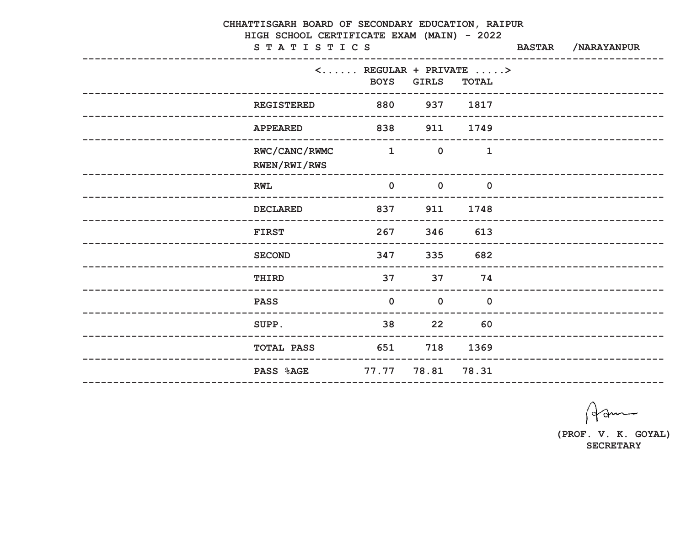| CHHATTISGARH BOARD OF SECONDARY EDUCATION, RAIPUR<br>HIGH SCHOOL CERTIFICATE EXAM (MAIN) - 2022 |                                    |                                            |              |                                                                                    |               |                             |  |
|-------------------------------------------------------------------------------------------------|------------------------------------|--------------------------------------------|--------------|------------------------------------------------------------------------------------|---------------|-----------------------------|--|
|                                                                                                 | STATISTICS                         |                                            |              |                                                                                    | <b>BASTAR</b> | /NARAYANPUR                 |  |
|                                                                                                 | _____________________________      | <b>BOYS</b>                                | <b>GIRLS</b> | $\langle \ldots \ldots \rangle$ REGULAR + PRIVATE $\ldots \rangle$<br><b>TOTAL</b> |               |                             |  |
|                                                                                                 | <b>REGISTERED</b>                  | 880 88                                     | 937          | 1817                                                                               |               |                             |  |
|                                                                                                 | <b>APPEARED</b>                    | 838                                        |              | 911 1749                                                                           |               | _________________________   |  |
|                                                                                                 | RWC/CANC/RWMC<br>RWEN/RWI/RWS      | $\sim$ 1                                   | $\mathbf 0$  | $\mathbf{1}$                                                                       |               |                             |  |
|                                                                                                 | <b>RWL</b>                         | $\mathbf 0$<br>--------------------------- | $\mathbf 0$  | $\mathbf 0$                                                                        |               |                             |  |
|                                                                                                 | <b>DECLARED</b>                    | 837                                        | 911          | 1748                                                                               |               |                             |  |
|                                                                                                 | <b>FIRST</b>                       | 267                                        | 346          | 613                                                                                |               |                             |  |
|                                                                                                 | <b>SECOND</b>                      | 347                                        | 335          | 682                                                                                |               | ---------------------       |  |
|                                                                                                 | <b>THIRD</b>                       | 37                                         | 37<br>------ | 74                                                                                 |               | ___________________________ |  |
| ___________________                                                                             | <b>PASS</b><br>------------------- | $\mathbf 0$                                | $\mathbf 0$  | $\mathbf 0$                                                                        |               | ___________________________ |  |
|                                                                                                 | SUPP.                              | 38 22 60                                   |              |                                                                                    |               |                             |  |
|                                                                                                 | TOTAL PASS                         | 651 11                                     |              | 718 1369                                                                           |               |                             |  |
|                                                                                                 | <b>PASS %AGE</b>                   | 77.77 78.81                                |              | 78.31                                                                              |               |                             |  |
|                                                                                                 |                                    |                                            |              |                                                                                    |               |                             |  |

Ham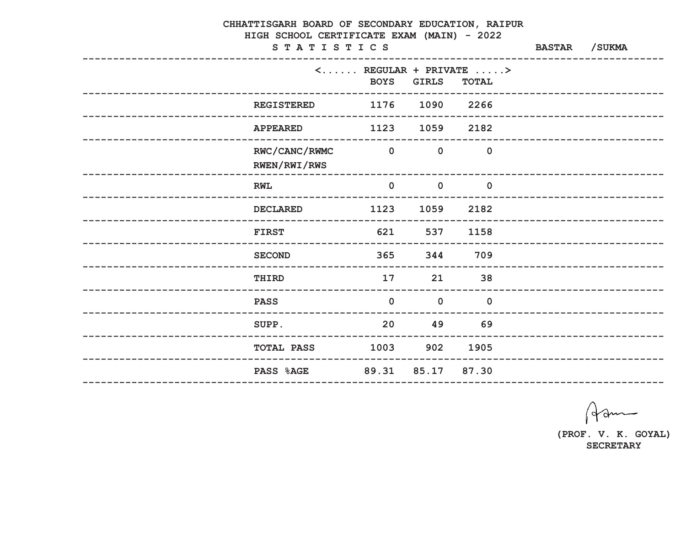|                  | CHHATTISGARH BOARD OF SECONDARY EDUCATION, RAIPUR<br>HIGH SCHOOL CERTIFICATE EXAM (MAIN) - 2022<br>STATISTICS |                                      |                |                                                                                    |  |                             |  |
|------------------|---------------------------------------------------------------------------------------------------------------|--------------------------------------|----------------|------------------------------------------------------------------------------------|--|-----------------------------|--|
|                  |                                                                                                               | <b>BOYS</b>                          | <b>GIRLS</b>   | $\langle \ldots \ldots \rangle$ REGULAR + PRIVATE $\ldots \rangle$<br><b>TOTAL</b> |  |                             |  |
|                  | <b>REGISTERED</b>                                                                                             | 1176 1090 2266<br>------------------ |                |                                                                                    |  | ----------------------      |  |
|                  | <b>APPEARED</b>                                                                                               | 1123                                 | 1059           | 2182                                                                               |  | -------------------------   |  |
|                  | RWC/CANC/RWMC<br>RWEN/RWI/RWS                                                                                 | $\overline{\mathbf{0}}$              | $\mathbf 0$    | $\overline{0}$                                                                     |  |                             |  |
|                  | <b>RWL</b>                                                                                                    | $\mathbf 0$                          | $\mathbf 0$    | $\mathbf 0$                                                                        |  |                             |  |
|                  | <b>DECLARED</b>                                                                                               | 1123                                 | 1059           | 2182                                                                               |  |                             |  |
|                  | <b>FIRST</b>                                                                                                  | 621                                  | 537            | 1158                                                                               |  |                             |  |
|                  | <b>SECOND</b>                                                                                                 | 365                                  | 344            | 709                                                                                |  | _______________________     |  |
|                  | THIRD                                                                                                         | 17                                   | 21             | 38                                                                                 |  | --------------------------- |  |
| ---------------- | <b>PASS</b><br>---------------------------                                                                    | $\mathbf 0$                          | $\overline{0}$ | $\mathbf 0$                                                                        |  |                             |  |
|                  | SUPP.                                                                                                         | 20                                   | 49 69          |                                                                                    |  |                             |  |
|                  | <b>TOTAL PASS</b>                                                                                             | 1003 902 1905                        |                |                                                                                    |  |                             |  |
|                  | PASS %AGE                                                                                                     | 89.31 85.17 87.30                    |                |                                                                                    |  |                             |  |

Ham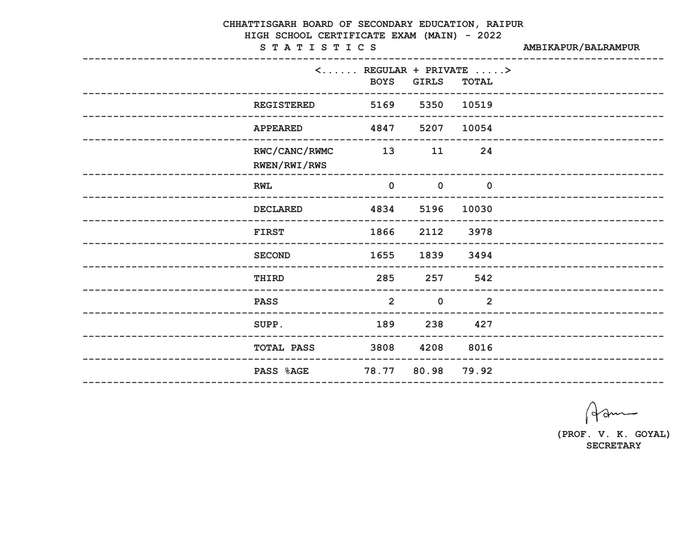| CHHATTISGARH BOARD OF SECONDARY EDUCATION, RAIPUR<br>HIGH SCHOOL CERTIFICATE EXAM (MAIN) - 2022<br>STATISTICS | AMBIKAPUR/BALRAMPUR |              |                                                                                    |                            |
|---------------------------------------------------------------------------------------------------------------|---------------------|--------------|------------------------------------------------------------------------------------|----------------------------|
|                                                                                                               | <b>BOYS</b>         | <b>GIRLS</b> | $\langle \ldots \ldots \rangle$ REGULAR + PRIVATE $\ldots \rangle$<br><b>TOTAL</b> |                            |
| <b>REGISTERED</b>                                                                                             | 5169                | 5350         | 10519                                                                              |                            |
| <b>APPEARED</b>                                                                                               | 4847                | 5207         | 10054                                                                              | ________________________   |
| RWC/CANC/RWMC<br>RWEN/RWI/RWS                                                                                 | 13                  | 11           | 24                                                                                 |                            |
| <b>RWL</b>                                                                                                    | $\mathbf 0$         | $\mathbf 0$  | $\mathbf 0$                                                                        |                            |
| <b>DECLARED</b>                                                                                               | 4834                | 5196         | 10030                                                                              |                            |
| <b>FIRST</b>                                                                                                  | 1866                | 2112         | 3978                                                                               |                            |
| <b>SECOND</b>                                                                                                 | 1655                | 1839         | 3494                                                                               | -----------------------    |
| THIRD<br>-----------                                                                                          | 285                 | 257          | 542                                                                                | __________________________ |
| <b>PASS</b>                                                                                                   | $\overline{2}$      | $\mathbf 0$  | $\overline{2}$                                                                     |                            |
| SUPP.                                                                                                         | 189 238             |              | 427                                                                                |                            |
| <b>TOTAL PASS 3808 4208 8016</b>                                                                              |                     |              |                                                                                    |                            |
| <b>PASS %AGE</b>                                                                                              | 78.77 80.98 79.92   |              |                                                                                    |                            |

Ham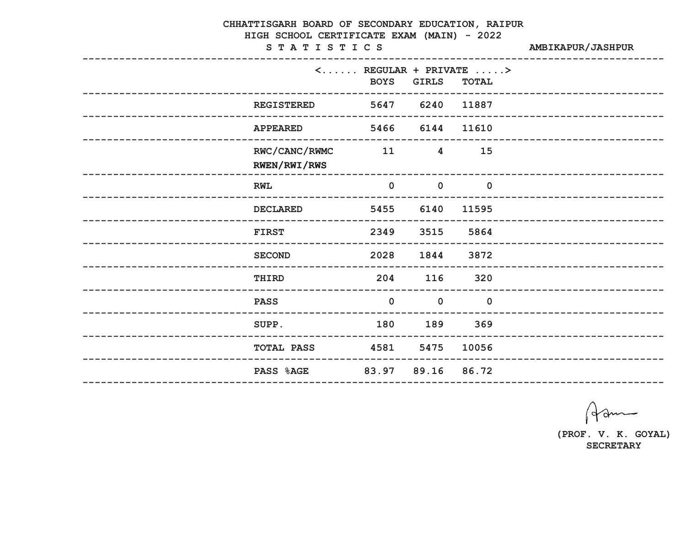|                     | CHHATTISGARH BOARD OF SECONDARY EDUCATION, RAIPUR<br>HIGH SCHOOL CERTIFICATE EXAM (MAIN) - 2022<br>STATISTICS | <b>AMBIKAPUR/JASHPUR</b> |                |                                                                                    |                             |
|---------------------|---------------------------------------------------------------------------------------------------------------|--------------------------|----------------|------------------------------------------------------------------------------------|-----------------------------|
|                     |                                                                                                               | <b>BOYS</b>              | <b>GIRLS</b>   | $\langle \ldots \ldots \rangle$ REGULAR + PRIVATE $\ldots \rangle$<br><b>TOTAL</b> |                             |
|                     | -----------------<br><b>REGISTERED</b>                                                                        | 5647 6240                |                | 11887                                                                              | -------------------------   |
|                     | <b>APPEARED</b>                                                                                               | 5466                     | 6144           | 11610                                                                              | --------------------------  |
|                     | RWC/CANC/RWMC<br><b>RWEN/RWI/RWS</b>                                                                          | 11                       | $\overline{4}$ | 15                                                                                 |                             |
|                     | <b>RWL</b>                                                                                                    | $\mathbf 0$              | $\mathbf 0$    | $\mathbf 0$                                                                        |                             |
|                     | <b>DECLARED</b>                                                                                               | 5455                     | 6140           | 11595                                                                              |                             |
|                     | <b>FIRST</b>                                                                                                  | 2349                     | 3515           | 5864                                                                               | ---------------------       |
|                     | <b>SECOND</b>                                                                                                 | 2028                     | 1844           | 3872                                                                               | --------------------------  |
|                     | THIRD                                                                                                         | 204                      | 116            | 320                                                                                | --------------------------- |
| ------------------- | <b>PASS</b>                                                                                                   | $\overline{0}$           | $\mathbf 0$    | $\overline{0}$                                                                     |                             |
|                     | SUPP.                                                                                                         | 180 189 369              |                |                                                                                    |                             |
|                     | <b>TOTAL PASS</b>                                                                                             | 4581 5475 10056          |                |                                                                                    |                             |
|                     | PASS %AGE 83.97 89.16 86.72                                                                                   |                          |                |                                                                                    |                             |

Ham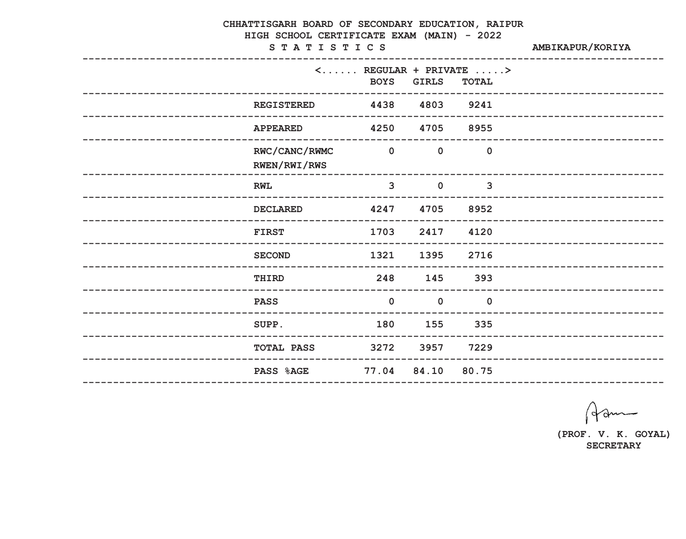| CHHATTISGARH BOARD OF SECONDARY EDUCATION, RAIPUR<br>HIGH SCHOOL CERTIFICATE EXAM (MAIN) - 2022<br>STATISTICS | AMBIKAPUR/KORIYA               |              |                                                                                    |                            |
|---------------------------------------------------------------------------------------------------------------|--------------------------------|--------------|------------------------------------------------------------------------------------|----------------------------|
|                                                                                                               | <b>BOYS</b>                    | <b>GIRLS</b> | $\langle \ldots \ldots \rangle$ REGULAR + PRIVATE $\ldots \rangle$<br><b>TOTAL</b> |                            |
| <b>REGISTERED</b>                                                                                             | 4438                           | 4803         | 9241                                                                               | __________________________ |
| <b>APPEARED</b>                                                                                               | 4250                           | 4705         | 8955                                                                               |                            |
| RWC/CANC/RWMC<br>RWEN/RWI/RWS                                                                                 | $\overline{\mathbf{0}}$        | $\mathbf 0$  | $\overline{0}$                                                                     |                            |
| <b>RWL</b>                                                                                                    | $\overline{3}$                 | $\mathbf 0$  | $\overline{3}$                                                                     |                            |
| <b>DECLARED</b>                                                                                               | 4247                           | 4705         | 8952                                                                               |                            |
| <b>FIRST</b>                                                                                                  | 1703                           | 2417         | 4120                                                                               | _______________________    |
| <b>SECOND</b>                                                                                                 | 1321                           | 1395         | 2716                                                                               | ----------------------     |
| THIRD<br>-------                                                                                              | 248<br>----------------------- | 145          | 393                                                                                |                            |
| <b>PASS</b>                                                                                                   | $\mathbf 0$                    | $\mathbf 0$  | $\overline{0}$                                                                     |                            |
| SUPP.                                                                                                         | 180                            | 155          | 335                                                                                |                            |
| <b>TOTAL PASS</b> 3272 3957 7229                                                                              |                                |              |                                                                                    |                            |
| PASS %AGE 77.04 84.10 80.75                                                                                   |                                |              |                                                                                    |                            |

Ham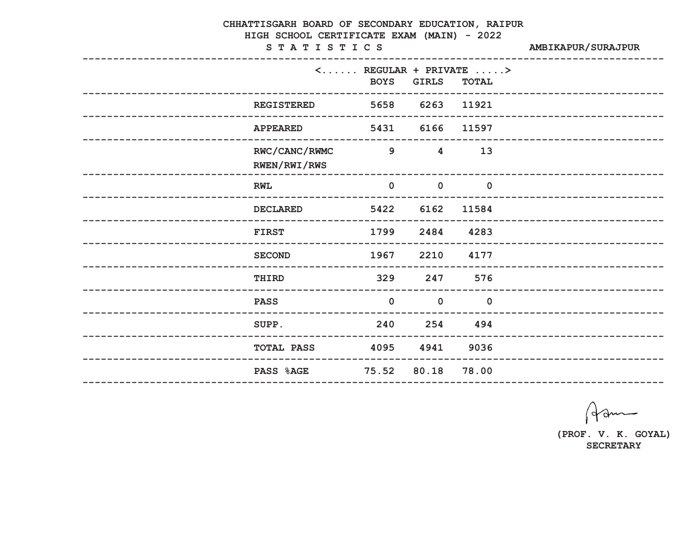| CHHATTISGARH BOARD OF SECONDARY EDUCATION, RAIPUR<br>HIGH SCHOOL CERTIFICATE EXAM (MAIN) - 2022 |                                                                                   |                |              |                              |
|-------------------------------------------------------------------------------------------------|-----------------------------------------------------------------------------------|----------------|--------------|------------------------------|
| STATISTICS                                                                                      | <b>AMBIKAPUR/SURAJPUR</b>                                                         |                |              |                              |
|                                                                                                 | $\langle \ldots \ldots \rangle$ REGULAR + PRIVATE $\ldots \rangle$<br><b>BOYS</b> | <b>GIRLS</b>   | <b>TOTAL</b> |                              |
| <b>REGISTERED</b>                                                                               |                                                                                   | 5658 6263      | 11921        |                              |
| <b>APPEARED</b>                                                                                 | 5431                                                                              | 6166           | 11597        | _________________________    |
| RWC/CANC/RWMC<br>RWEN/RWI/RWS                                                                   | 9                                                                                 | $\overline{4}$ | 13           |                              |
| <b>RWL</b>                                                                                      | $\mathbf 0$                                                                       | $\mathbf 0$    | $\mathbf 0$  |                              |
| <b>DECLARED</b>                                                                                 | 5422                                                                              | 6162           | 11584        |                              |
| <b>FIRST</b>                                                                                    | 1799                                                                              | 2484           | 4283         |                              |
| <b>SECOND</b>                                                                                   | 1967                                                                              | 2210           | 4177         | __________________________   |
| THIRD                                                                                           | 329                                                                               | 247            | 576          | ---------------------------- |
| <b>PASS</b>                                                                                     | $\mathbf 0$<br>__________________________                                         | $\mathbf 0$    | $\mathbf 0$  |                              |
| SUPP.                                                                                           | 240 254 494                                                                       |                |              |                              |
| <b>TOTAL PASS</b>                                                                               | 4095 4941 9036                                                                    |                |              |                              |
| <b>PASS %AGE</b><br>--------------------                                                        | 75.52 80.18 78.00<br>-------------------------------                              |                |              |                              |
|                                                                                                 |                                                                                   |                |              |                              |

Ham